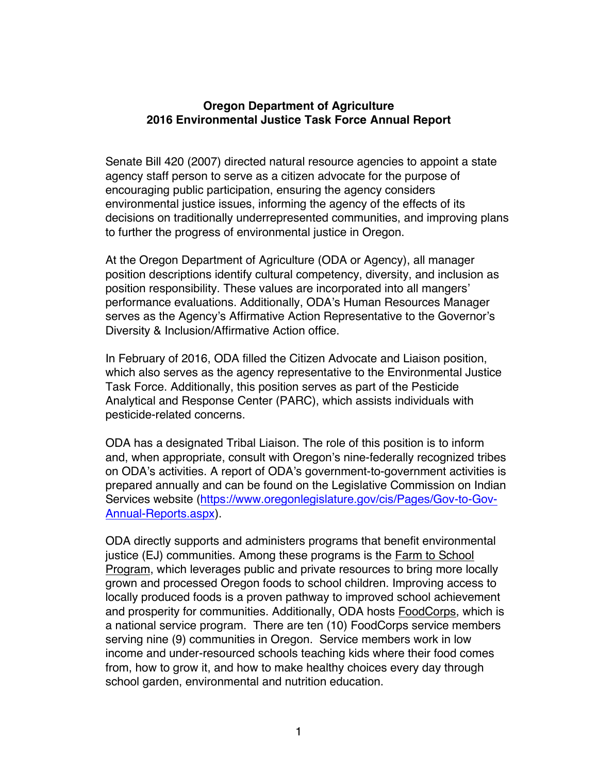## **Oregon Department of Agriculture 2016 Environmental Justice Task Force Annual Report**

Senate Bill 420 (2007) directed natural resource agencies to appoint a state agency staff person to serve as a citizen advocate for the purpose of encouraging public participation, ensuring the agency considers environmental justice issues, informing the agency of the effects of its decisions on traditionally underrepresented communities, and improving plans to further the progress of environmental justice in Oregon.

At the Oregon Department of Agriculture (ODA or Agency), all manager position descriptions identify cultural competency, diversity, and inclusion as position responsibility. These values are incorporated into all mangers' performance evaluations. Additionally, ODA's Human Resources Manager serves as the Agency's Affirmative Action Representative to the Governor's Diversity & Inclusion/Affirmative Action office.

In February of 2016, ODA filled the Citizen Advocate and Liaison position, which also serves as the agency representative to the Environmental Justice Task Force. Additionally, this position serves as part of the Pesticide Analytical and Response Center (PARC), which assists individuals with pesticide-related concerns.

ODA has a designated Tribal Liaison. The role of this position is to inform and, when appropriate, consult with Oregon's nine-federally recognized tribes on ODA's activities. A report of ODA's government-to-government activities is prepared annually and can be found on the Legislative Commission on Indian Services website (https://www.oregonlegislature.gov/cis/Pages/Gov-to-Gov-Annual-Reports.aspx).

ODA directly supports and administers programs that benefit environmental justice (EJ) communities. Among these programs is the Farm to School Program, which leverages public and private resources to bring more locally grown and processed Oregon foods to school children. Improving access to locally produced foods is a proven pathway to improved school achievement and prosperity for communities. Additionally, ODA hosts FoodCorps, which is a national service program. There are ten (10) FoodCorps service members serving nine (9) communities in Oregon. Service members work in low income and under-resourced schools teaching kids where their food comes from, how to grow it, and how to make healthy choices every day through school garden, environmental and nutrition education.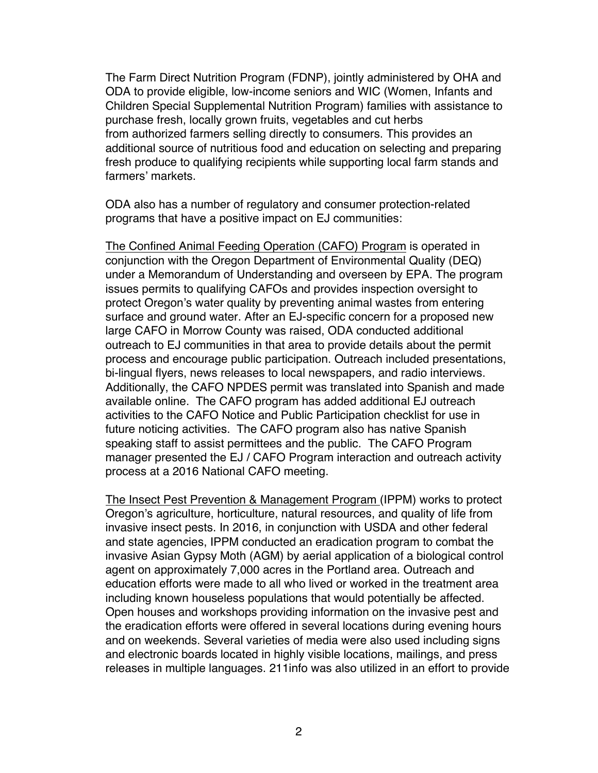The Farm Direct Nutrition Program (FDNP), jointly administered by OHA and ODA to provide eligible, low-income seniors and WIC (Women, Infants and Children Special Supplemental Nutrition Program) families with assistance to purchase fresh, locally grown fruits, vegetables and cut herbs from authorized farmers selling directly to consumers. This provides an additional source of nutritious food and education on selecting and preparing fresh produce to qualifying recipients while supporting local farm stands and farmers' markets.

ODA also has a number of regulatory and consumer protection-related programs that have a positive impact on EJ communities:

The Confined Animal Feeding Operation (CAFO) Program is operated in conjunction with the Oregon Department of Environmental Quality (DEQ) under a Memorandum of Understanding and overseen by EPA. The program issues permits to qualifying CAFOs and provides inspection oversight to protect Oregon's water quality by preventing animal wastes from entering surface and ground water. After an EJ-specific concern for a proposed new large CAFO in Morrow County was raised, ODA conducted additional outreach to EJ communities in that area to provide details about the permit process and encourage public participation. Outreach included presentations, bi-lingual flyers, news releases to local newspapers, and radio interviews. Additionally, the CAFO NPDES permit was translated into Spanish and made available online. The CAFO program has added additional EJ outreach activities to the CAFO Notice and Public Participation checklist for use in future noticing activities. The CAFO program also has native Spanish speaking staff to assist permittees and the public. The CAFO Program manager presented the EJ / CAFO Program interaction and outreach activity process at a 2016 National CAFO meeting.

The Insect Pest Prevention & Management Program (IPPM) works to protect Oregon's agriculture, horticulture, natural resources, and quality of life from invasive insect pests. In 2016, in conjunction with USDA and other federal and state agencies, IPPM conducted an eradication program to combat the invasive Asian Gypsy Moth (AGM) by aerial application of a biological control agent on approximately 7,000 acres in the Portland area. Outreach and education efforts were made to all who lived or worked in the treatment area including known houseless populations that would potentially be affected. Open houses and workshops providing information on the invasive pest and the eradication efforts were offered in several locations during evening hours and on weekends. Several varieties of media were also used including signs and electronic boards located in highly visible locations, mailings, and press releases in multiple languages. 211info was also utilized in an effort to provide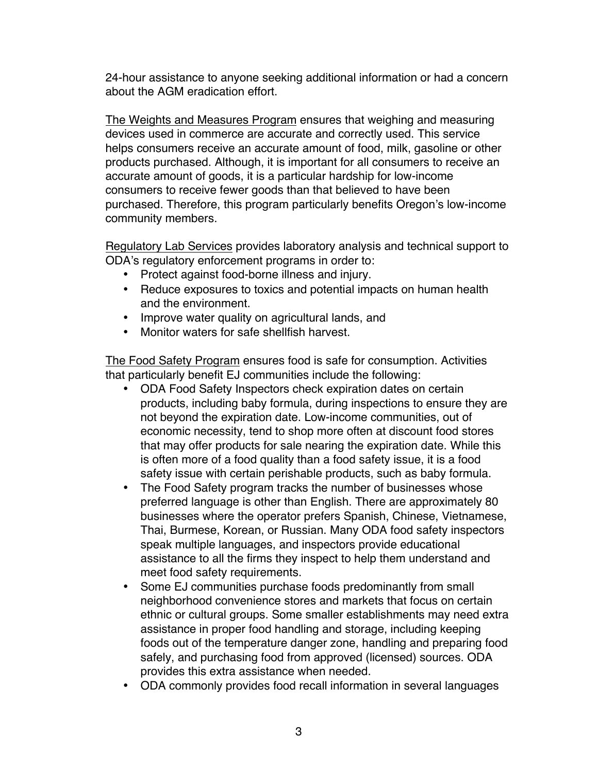24-hour assistance to anyone seeking additional information or had a concern about the AGM eradication effort.

The Weights and Measures Program ensures that weighing and measuring devices used in commerce are accurate and correctly used. This service helps consumers receive an accurate amount of food, milk, gasoline or other products purchased. Although, it is important for all consumers to receive an accurate amount of goods, it is a particular hardship for low-income consumers to receive fewer goods than that believed to have been purchased. Therefore, this program particularly benefits Oregon's low-income community members.

Regulatory Lab Services provides laboratory analysis and technical support to ODA's regulatory enforcement programs in order to:

- Protect against food-borne illness and injury.
- Reduce exposures to toxics and potential impacts on human health and the environment.
- Improve water quality on agricultural lands, and
- Monitor waters for safe shellfish harvest.

The Food Safety Program ensures food is safe for consumption. Activities that particularly benefit EJ communities include the following:

- ODA Food Safety Inspectors check expiration dates on certain products, including baby formula, during inspections to ensure they are not beyond the expiration date. Low-income communities, out of economic necessity, tend to shop more often at discount food stores that may offer products for sale nearing the expiration date. While this is often more of a food quality than a food safety issue, it is a food safety issue with certain perishable products, such as baby formula.
- The Food Safety program tracks the number of businesses whose preferred language is other than English. There are approximately 80 businesses where the operator prefers Spanish, Chinese, Vietnamese, Thai, Burmese, Korean, or Russian. Many ODA food safety inspectors speak multiple languages, and inspectors provide educational assistance to all the firms they inspect to help them understand and meet food safety requirements.
- Some EJ communities purchase foods predominantly from small neighborhood convenience stores and markets that focus on certain ethnic or cultural groups. Some smaller establishments may need extra assistance in proper food handling and storage, including keeping foods out of the temperature danger zone, handling and preparing food safely, and purchasing food from approved (licensed) sources. ODA provides this extra assistance when needed.
- ODA commonly provides food recall information in several languages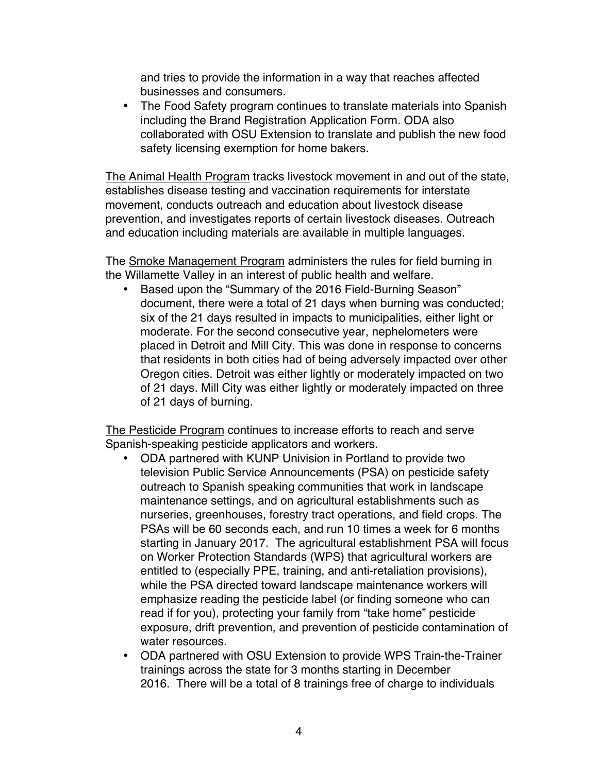and tries to provide the information in a way that reaches affected businesses and consumers.

• The Food Safety program continues to translate materials into Spanish including the Brand Registration Application Form. ODA also collaborated with OSU Extension to translate and publish the new food safety licensing exemption for home bakers.

The Animal Health Program tracks livestock movement in and out of the state, establishes disease testing and vaccination requirements for interstate movement, conducts outreach and education about livestock disease prevention, and investigates reports of certain livestock diseases. Outreach and education including materials are available in multiple languages.

The Smoke Management Program administers the rules for field burning in the Willamette Valley in an interest of public health and welfare.

• Based upon the "Summary of the 2016 Field-Burning Season" document, there were a total of 21 days when burning was conducted; six of the 21 days resulted in impacts to municipalities, either light or moderate. For the second consecutive year, nephelometers were placed in Detroit and Mill City. This was done in response to concerns that residents in both cities had of being adversely impacted over other Oregon cities. Detroit was either lightly or moderately impacted on two of 21 days. Mill City was either lightly or moderately impacted on three of 21 days of burning.

The Pesticide Program continues to increase efforts to reach and serve Spanish-speaking pesticide applicators and workers.

- ODA partnered with KUNP Univision in Portland to provide two television Public Service Announcements (PSA) on pesticide safety outreach to Spanish speaking communities that work in landscape maintenance settings, and on agricultural establishments such as nurseries, greenhouses, forestry tract operations, and field crops. The PSAs will be 60 seconds each, and run 10 times a week for 6 months starting in January 2017. The agricultural establishment PSA will focus on Worker Protection Standards (WPS) that agricultural workers are entitled to (especially PPE, training, and anti-retaliation provisions), while the PSA directed toward landscape maintenance workers will emphasize reading the pesticide label (or finding someone who can read if for you), protecting your family from "take home" pesticide exposure, drift prevention, and prevention of pesticide contamination of water resources.
- ODA partnered with OSU Extension to provide WPS Train-the-Trainer trainings across the state for 3 months starting in December 2016. There will be a total of 8 trainings free of charge to individuals